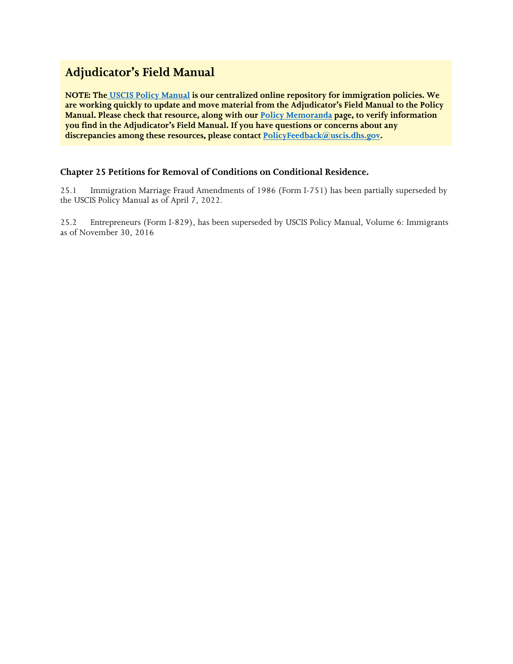# **Adjudicator's Field Manual**

**NOTE: The [USCIS Policy Manual](https://www.uscis.gov/policy-manual) is our centralized online repository for immigration policies. We are working quickly to update and move material from the Adjudicator's Field Manual to the Policy Manual. Please check that resource, along with our [Policy Memoranda](https://www.uscis.gov/legal-resources/policy-memoranda) page, to verify information you find in the Adjudicator's Field Manual. If you have questions or concerns about any discrepancies among these resources, please contact [PolicyFeedback@uscis.dhs.gov.](mailto:PolicyFeedback@uscis.dhs.gov)**

# **Chapter 25 Petitions for Removal of Conditions on Conditional Residence.**

25.1 Immigration Marriage Fraud Amendments of 1986 (Form I-751) has been partially superseded by the USCIS Policy Manual as of April 7, 2022.

25.2 Entrepreneurs (Form I-829), has been superseded by USCIS Policy Manual, Volume 6: Immigrants as of November 30, 2016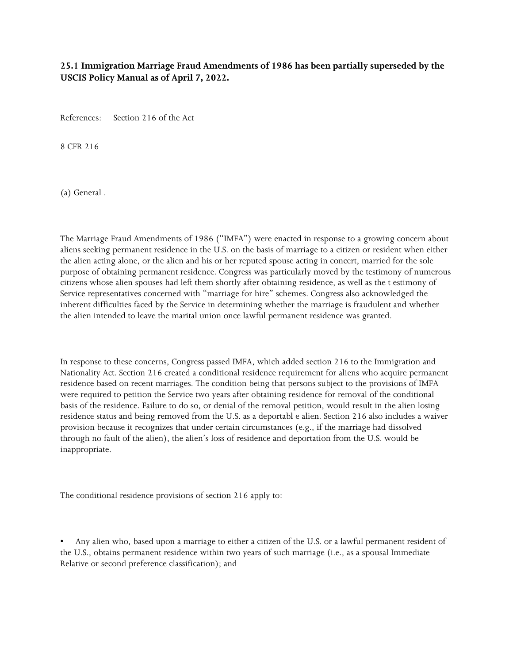## **25.1 Immigration Marriage Fraud Amendments of 1986 has been partially superseded by the USCIS Policy Manual as of April 7, 2022.**

References: Section 216 of the Act

8 CFR 216

(a) General .

The Marriage Fraud Amendments of 1986 ("IMFA") were enacted in response to a growing concern about aliens seeking permanent residence in the U.S. on the basis of marriage to a citizen or resident when either the alien acting alone, or the alien and his or her reputed spouse acting in concert, married for the sole purpose of obtaining permanent residence. Congress was particularly moved by the testimony of numerous citizens whose alien spouses had left them shortly after obtaining residence, as well as the t estimony of Service representatives concerned with "marriage for hire" schemes. Congress also acknowledged the inherent difficulties faced by the Service in determining whether the marriage is fraudulent and whether the alien intended to leave the marital union once lawful permanent residence was granted.

In response to these concerns, Congress passed IMFA, which added section 216 to the Immigration and Nationality Act. Section 216 created a conditional residence requirement for aliens who acquire permanent residence based on recent marriages. The condition being that persons subject to the provisions of IMFA were required to petition the Service two years after obtaining residence for removal of the conditional basis of the residence. Failure to do so, or denial of the removal petition, would result in the alien losing residence status and being removed from the U.S. as a deportabl e alien. Section 216 also includes a waiver provision because it recognizes that under certain circumstances (e.g., if the marriage had dissolved through no fault of the alien), the alien's loss of residence and deportation from the U.S. would be inappropriate.

The conditional residence provisions of section 216 apply to:

• Any alien who, based upon a marriage to either a citizen of the U.S. or a lawful permanent resident of the U.S., obtains permanent residence within two years of such marriage (i.e., as a spousal Immediate Relative or second preference classification); and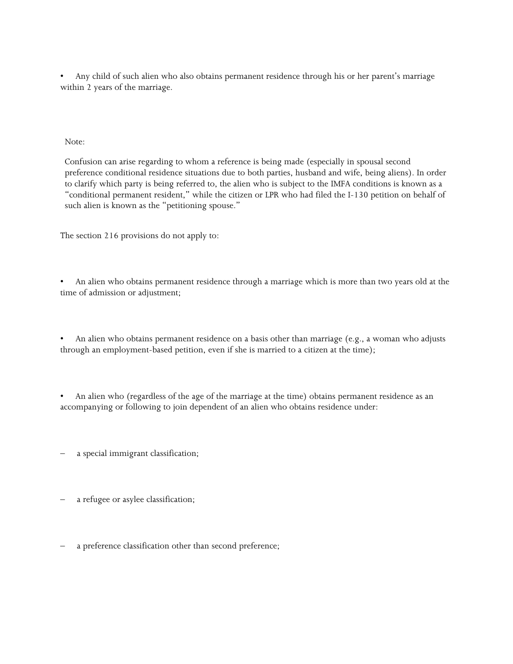• Any child of such alien who also obtains permanent residence through his or her parent's marriage within 2 years of the marriage.

Note:

Confusion can arise regarding to whom a reference is being made (especially in spousal second preference conditional residence situations due to both parties, husband and wife, being aliens). In order to clarify which party is being referred to, the alien who is subject to the IMFA conditions is known as a "conditional permanent resident," while the citizen or LPR who had filed the I-130 petition on behalf of such alien is known as the "petitioning spouse."

The section 216 provisions do not apply to:

• An alien who obtains permanent residence through a marriage which is more than two years old at the time of admission or adjustment;

• An alien who obtains permanent residence on a basis other than marriage (e.g., a woman who adjusts through an employment-based petition, even if she is married to a citizen at the time);

• An alien who (regardless of the age of the marriage at the time) obtains permanent residence as an accompanying or following to join dependent of an alien who obtains residence under:

a special immigrant classification;

a refugee or asylee classification;

a preference classification other than second preference;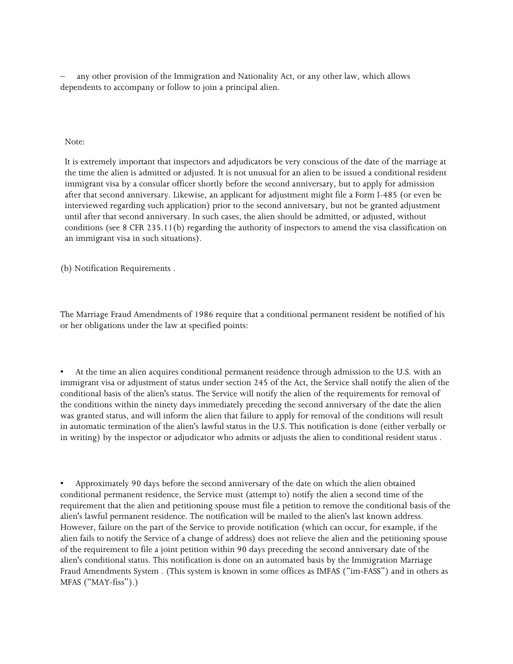– any other provision of the Immigration and Nationality Act, or any other law, which allows dependents to accompany or follow to join a principal alien.

#### Note:

It is extremely important that inspectors and adjudicators be very conscious of the date of the marriage at the time the alien is admitted or adjusted. It is not unusual for an alien to be issued a conditional resident immigrant visa by a consular officer shortly before the second anniversary, but to apply for admission after that second anniversary. Likewise, an applicant for adjustment might file a Form I-485 (or even be interviewed regarding such application) prior to the second anniversary, but not be granted adjustment until after that second anniversary. In such cases, the alien should be admitted, or adjusted, without conditions (see 8 CFR 235.11(b) regarding the authority of inspectors to amend the visa classification on an immigrant visa in such situations).

(b) Notification Requirements .

The Marriage Fraud Amendments of 1986 require that a conditional permanent resident be notified of his or her obligations under the law at specified points:

• At the time an alien acquires conditional permanent residence through admission to the U.S. with an immigrant visa or adjustment of status under section 245 of the Act, the Service shall notify the alien of the conditional basis of the alien's status. The Service will notify the alien of the requirements for removal of the conditions within the ninety days immediately preceding the second anniversary of the date the alien was granted status, and will inform the alien that failure to apply for removal of the conditions will result in automatic termination of the alien's lawful status in the U.S. This notification is done (either verbally or in writing) by the inspector or adjudicator who admits or adjusts the alien to conditional resident status .

• Approximately 90 days before the second anniversary of the date on which the alien obtained conditional permanent residence, the Service must (attempt to) notify the alien a second time of the requirement that the alien and petitioning spouse must file a petition to remove the conditional basis of the alien's lawful permanent residence. The notification will be mailed to the alien's last known address. However, failure on the part of the Service to provide notification (which can occur, for example, if the alien fails to notify the Service of a change of address) does not relieve the alien and the petitioning spouse of the requirement to file a joint petition within 90 days preceding the second anniversary date of the alien's conditional status. This notification is done on an automated basis by the Immigration Marriage Fraud Amendments System . (This system is known in some offices as IMFAS ("im-FASS") and in others as MFAS ("MAY-fiss").)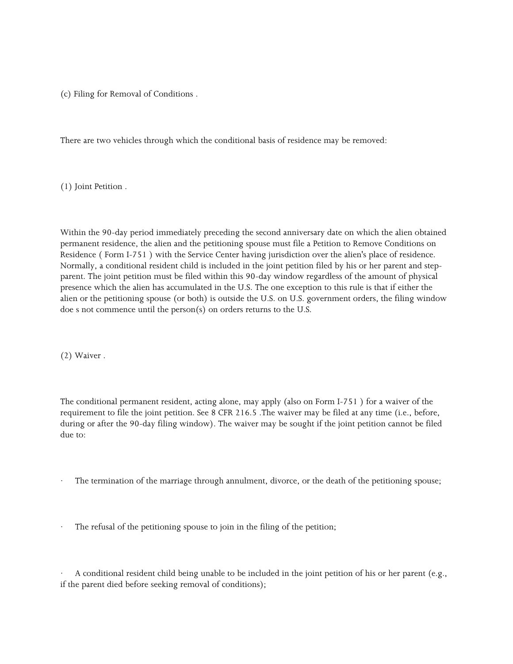(c) Filing for Removal of Conditions .

There are two vehicles through which the conditional basis of residence may be removed:

(1) Joint Petition .

Within the 90-day period immediately preceding the second anniversary date on which the alien obtained permanent residence, the alien and the petitioning spouse must file a Petition to Remove Conditions on Residence ( Form I-751 ) with the Service Center having jurisdiction over the alien's place of residence. Normally, a conditional resident child is included in the joint petition filed by his or her parent and stepparent. The joint petition must be filed within this 90-day window regardless of the amount of physical presence which the alien has accumulated in the U.S. The one exception to this rule is that if either the alien or the petitioning spouse (or both) is outside the U.S. on U.S. government orders, the filing window doe s not commence until the person(s) on orders returns to the U.S.

(2) Waiver .

The conditional permanent resident, acting alone, may apply (also on Form I-751 ) for a waiver of the requirement to file the joint petition. See 8 CFR 216.5 .The waiver may be filed at any time (i.e., before, during or after the 90-day filing window). The waiver may be sought if the joint petition cannot be filed due to:

The termination of the marriage through annulment, divorce, or the death of the petitioning spouse;

The refusal of the petitioning spouse to join in the filing of the petition;

· A conditional resident child being unable to be included in the joint petition of his or her parent (e.g., if the parent died before seeking removal of conditions);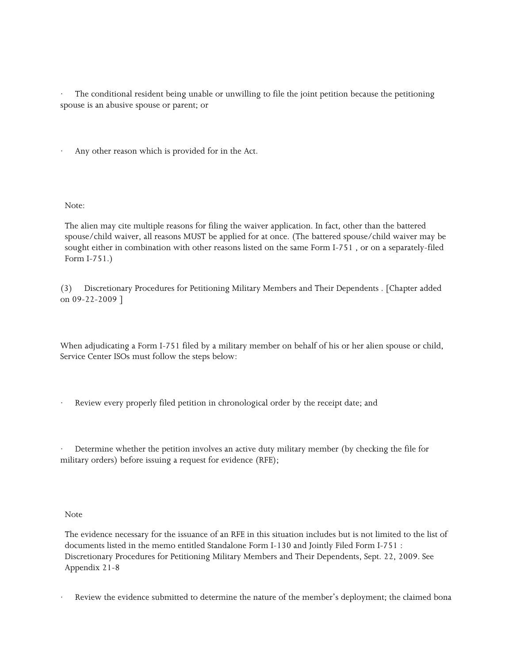The conditional resident being unable or unwilling to file the joint petition because the petitioning spouse is an abusive spouse or parent; or

Any other reason which is provided for in the Act.

Note:

The alien may cite multiple reasons for filing the waiver application. In fact, other than the battered spouse/child waiver, all reasons MUST be applied for at once. (The battered spouse/child waiver may be sought either in combination with other reasons listed on the same Form I-751 , or on a separately-filed Form I-751.)

(3) Discretionary Procedures for Petitioning Military Members and Their Dependents . [Chapter added on 09-22-2009 ]

When adjudicating a Form I-751 filed by a military member on behalf of his or her alien spouse or child, Service Center ISOs must follow the steps below:

Review every properly filed petition in chronological order by the receipt date; and

Determine whether the petition involves an active duty military member (by checking the file for military orders) before issuing a request for evidence (RFE);

Note

The evidence necessary for the issuance of an RFE in this situation includes but is not limited to the list of documents listed in the memo entitled Standalone Form I-130 and Jointly Filed Form I-751 : Discretionary Procedures for Petitioning Military Members and Their Dependents, Sept. 22, 2009. See Appendix 21-8

Review the evidence submitted to determine the nature of the member's deployment; the claimed bona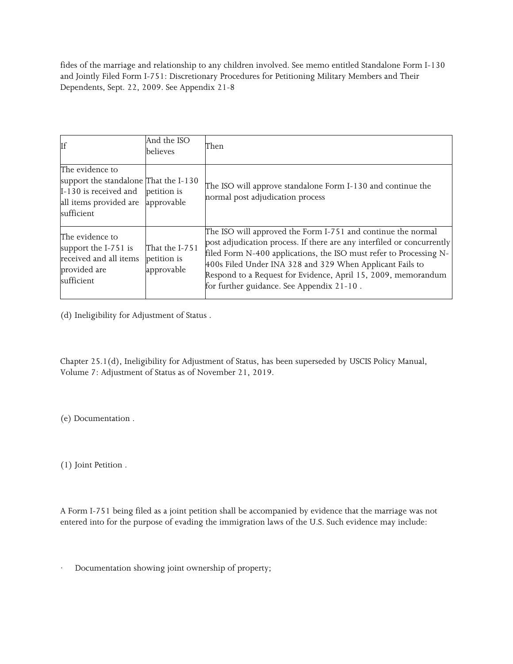fides of the marriage and relationship to any children involved. See memo entitled Standalone Form I-130 and Jointly Filed Form I-751: Discretionary Procedures for Petitioning Military Members and Their Dependents, Sept. 22, 2009. See Appendix 21-8

| If                                                                                                                        | And the ISO<br>believes                     | Then                                                                                                                                                                                                                                                                                                                                                                                   |
|---------------------------------------------------------------------------------------------------------------------------|---------------------------------------------|----------------------------------------------------------------------------------------------------------------------------------------------------------------------------------------------------------------------------------------------------------------------------------------------------------------------------------------------------------------------------------------|
| The evidence to<br>support the standalone That the I-130<br>I-130 is received and<br>all items provided are<br>sufficient | petition is<br>approvable                   | The ISO will approve standalone Form I-130 and continue the<br>normal post adjudication process                                                                                                                                                                                                                                                                                        |
| The evidence to<br>support the I-751 is<br>received and all items<br>provided are<br>sufficient                           | That the I-751<br>petition is<br>approvable | The ISO will approved the Form I-751 and continue the normal<br>post adjudication process. If there are any interfiled or concurrently<br>filed Form N-400 applications, the ISO must refer to Processing N-<br>400s Filed Under INA 328 and 329 When Applicant Fails to<br>Respond to a Request for Evidence, April 15, 2009, memorandum<br>for further guidance. See Appendix 21-10. |

(d) Ineligibility for Adjustment of Status .

Chapter 25.1(d), Ineligibility for Adjustment of Status, has been superseded by USCIS Policy Manual, Volume 7: Adjustment of Status as of November 21, 2019.

(e) Documentation .

(1) Joint Petition .

A Form I-751 being filed as a joint petition shall be accompanied by evidence that the marriage was not entered into for the purpose of evading the immigration laws of the U.S. Such evidence may include:

Documentation showing joint ownership of property;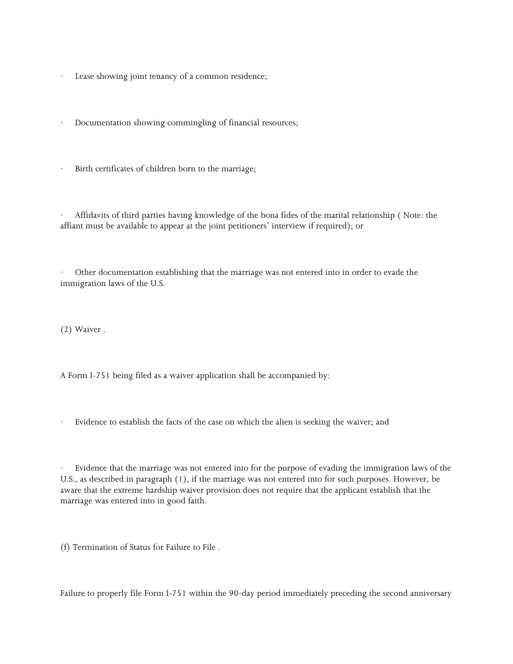- Lease showing joint tenancy of a common residence;
- Documentation showing commingling of financial resources;
- · Birth certificates of children born to the marriage;

· Affidavits of third parties having knowledge of the bona fides of the marital relationship ( Note: the affiant must be available to appear at the joint petitioners' interview if required); or

· Other documentation establishing that the marriage was not entered into in order to evade the immigration laws of the U.S.

(2) Waiver .

A Form I-751 being filed as a waiver application shall be accompanied by:

Evidence to establish the facts of the case on which the alien is seeking the waiver; and

Evidence that the marriage was not entered into for the purpose of evading the immigration laws of the U.S., as described in paragraph (1), if the marriage was not entered into for such purposes. However, be aware that the extreme hardship waiver provision does not require that the applicant establish that the marriage was entered into in good faith.

(f) Termination of Status for Failure to File .

Failure to properly file Form I-751 within the 90-day period immediately preceding the second anniversary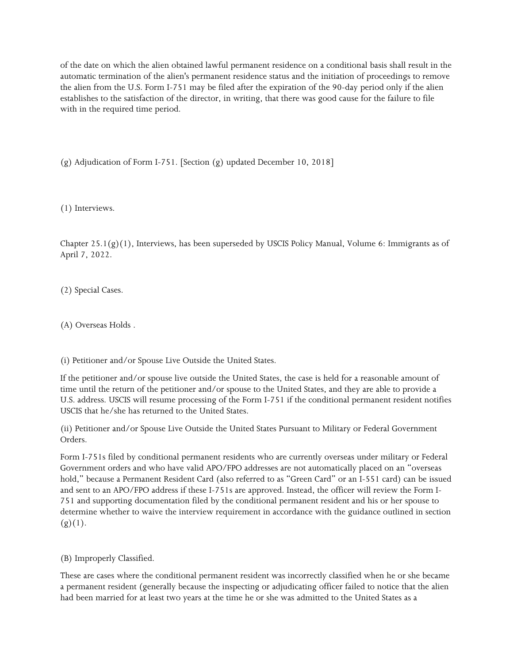of the date on which the alien obtained lawful permanent residence on a conditional basis shall result in the automatic termination of the alien's permanent residence status and the initiation of proceedings to remove the alien from the U.S. Form I-751 may be filed after the expiration of the 90-day period only if the alien establishes to the satisfaction of the director, in writing, that there was good cause for the failure to file with in the required time period.

(g) Adjudication of Form I-751. [Section (g) updated December 10, 2018]

(1) Interviews.

Chapter 25.1(g)(1), Interviews, has been superseded by USCIS Policy Manual, Volume 6: Immigrants as of April 7, 2022.

(2) Special Cases.

(A) Overseas Holds .

(i) Petitioner and/or Spouse Live Outside the United States.

If the petitioner and/or spouse live outside the United States, the case is held for a reasonable amount of time until the return of the petitioner and/or spouse to the United States, and they are able to provide a U.S. address. USCIS will resume processing of the Form I-751 if the conditional permanent resident notifies USCIS that he/she has returned to the United States.

(ii) Petitioner and/or Spouse Live Outside the United States Pursuant to Military or Federal Government Orders.

Form I-751s filed by conditional permanent residents who are currently overseas under military or Federal Government orders and who have valid APO/FPO addresses are not automatically placed on an "overseas hold," because a Permanent Resident Card (also referred to as "Green Card" or an I-551 card) can be issued and sent to an APO/FPO address if these I-751s are approved. Instead, the officer will review the Form I-751 and supporting documentation filed by the conditional permanent resident and his or her spouse to determine whether to waive the interview requirement in accordance with the guidance outlined in section  $(g)(1).$ 

(B) Improperly Classified.

These are cases where the conditional permanent resident was incorrectly classified when he or she became a permanent resident (generally because the inspecting or adjudicating officer failed to notice that the alien had been married for at least two years at the time he or she was admitted to the United States as a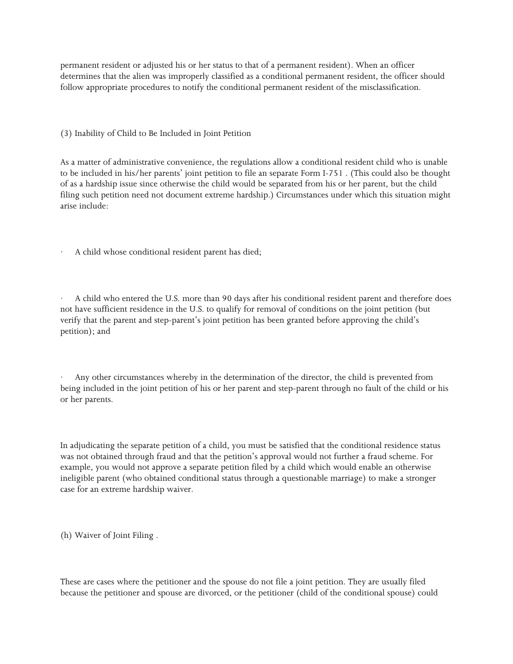permanent resident or adjusted his or her status to that of a permanent resident). When an officer determines that the alien was improperly classified as a conditional permanent resident, the officer should follow appropriate procedures to notify the conditional permanent resident of the misclassification.

(3) Inability of Child to Be Included in Joint Petition

As a matter of administrative convenience, the regulations allow a conditional resident child who is unable to be included in his/her parents' joint petition to file an separate Form I-751 . (This could also be thought of as a hardship issue since otherwise the child would be separated from his or her parent, but the child filing such petition need not document extreme hardship.) Circumstances under which this situation might arise include:

A child whose conditional resident parent has died;

· A child who entered the U.S. more than 90 days after his conditional resident parent and therefore does not have sufficient residence in the U.S. to qualify for removal of conditions on the joint petition (but verify that the parent and step-parent's joint petition has been granted before approving the child's petition); and

Any other circumstances whereby in the determination of the director, the child is prevented from being included in the joint petition of his or her parent and step-parent through no fault of the child or his or her parents.

In adjudicating the separate petition of a child, you must be satisfied that the conditional residence status was not obtained through fraud and that the petition's approval would not further a fraud scheme. For example, you would not approve a separate petition filed by a child which would enable an otherwise ineligible parent (who obtained conditional status through a questionable marriage) to make a stronger case for an extreme hardship waiver.

(h) Waiver of Joint Filing .

These are cases where the petitioner and the spouse do not file a joint petition. They are usually filed because the petitioner and spouse are divorced, or the petitioner (child of the conditional spouse) could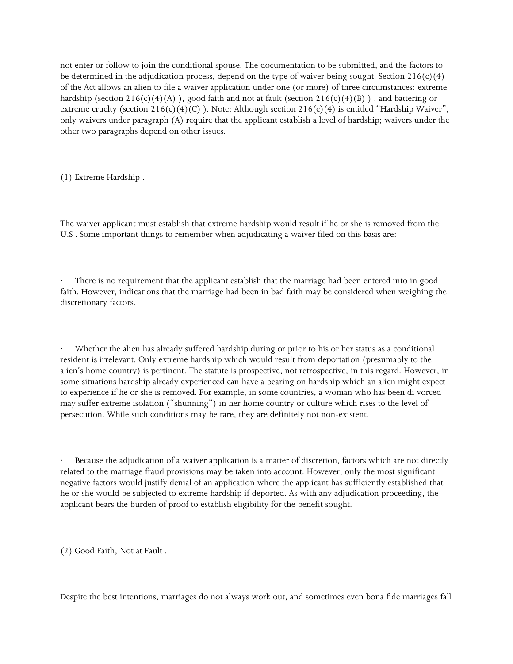not enter or follow to join the conditional spouse. The documentation to be submitted, and the factors to be determined in the adjudication process, depend on the type of waiver being sought. Section  $216(c)(4)$ of the Act allows an alien to file a waiver application under one (or more) of three circumstances: extreme hardship (section  $216(c)(4)(A)$ ), good faith and not at fault (section  $216(c)(4)(B)$ ), and battering or extreme cruelty (section  $216(c)(4)(C)$ ). Note: Although section  $216(c)(4)$  is entitled "Hardship Waiver", only waivers under paragraph (A) require that the applicant establish a level of hardship; waivers under the other two paragraphs depend on other issues.

(1) Extreme Hardship .

The waiver applicant must establish that extreme hardship would result if he or she is removed from the U.S . Some important things to remember when adjudicating a waiver filed on this basis are:

There is no requirement that the applicant establish that the marriage had been entered into in good faith. However, indications that the marriage had been in bad faith may be considered when weighing the discretionary factors.

Whether the alien has already suffered hardship during or prior to his or her status as a conditional resident is irrelevant. Only extreme hardship which would result from deportation (presumably to the alien's home country) is pertinent. The statute is prospective, not retrospective, in this regard. However, in some situations hardship already experienced can have a bearing on hardship which an alien might expect to experience if he or she is removed. For example, in some countries, a woman who has been di vorced may suffer extreme isolation ("shunning") in her home country or culture which rises to the level of persecution. While such conditions may be rare, they are definitely not non-existent.

Because the adjudication of a waiver application is a matter of discretion, factors which are not directly related to the marriage fraud provisions may be taken into account. However, only the most significant negative factors would justify denial of an application where the applicant has sufficiently established that he or she would be subjected to extreme hardship if deported. As with any adjudication proceeding, the applicant bears the burden of proof to establish eligibility for the benefit sought.

(2) Good Faith, Not at Fault .

Despite the best intentions, marriages do not always work out, and sometimes even bona fide marriages fall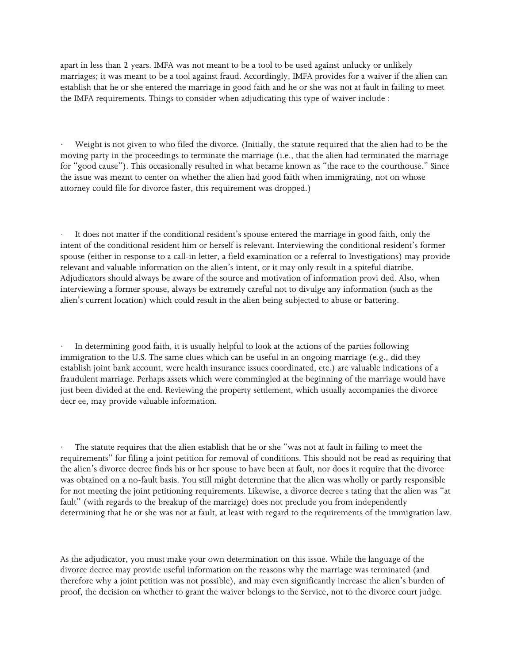apart in less than 2 years. IMFA was not meant to be a tool to be used against unlucky or unlikely marriages; it was meant to be a tool against fraud. Accordingly, IMFA provides for a waiver if the alien can establish that he or she entered the marriage in good faith and he or she was not at fault in failing to meet the IMFA requirements. Things to consider when adjudicating this type of waiver include :

Weight is not given to who filed the divorce. (Initially, the statute required that the alien had to be the moving party in the proceedings to terminate the marriage (i.e., that the alien had terminated the marriage for "good cause"). This occasionally resulted in what became known as "the race to the courthouse." Since the issue was meant to center on whether the alien had good faith when immigrating, not on whose attorney could file for divorce faster, this requirement was dropped.)

It does not matter if the conditional resident's spouse entered the marriage in good faith, only the intent of the conditional resident him or herself is relevant. Interviewing the conditional resident's former spouse (either in response to a call-in letter, a field examination or a referral to Investigations) may provide relevant and valuable information on the alien's intent, or it may only result in a spiteful diatribe. Adjudicators should always be aware of the source and motivation of information provi ded. Also, when interviewing a former spouse, always be extremely careful not to divulge any information (such as the alien's current location) which could result in the alien being subjected to abuse or battering.

In determining good faith, it is usually helpful to look at the actions of the parties following immigration to the U.S. The same clues which can be useful in an ongoing marriage (e.g., did they establish joint bank account, were health insurance issues coordinated, etc.) are valuable indications of a fraudulent marriage. Perhaps assets which were commingled at the beginning of the marriage would have just been divided at the end. Reviewing the property settlement, which usually accompanies the divorce decr ee, may provide valuable information.

The statute requires that the alien establish that he or she "was not at fault in failing to meet the requirements" for filing a joint petition for removal of conditions. This should not be read as requiring that the alien's divorce decree finds his or her spouse to have been at fault, nor does it require that the divorce was obtained on a no-fault basis. You still might determine that the alien was wholly or partly responsible for not meeting the joint petitioning requirements. Likewise, a divorce decree s tating that the alien was "at fault" (with regards to the breakup of the marriage) does not preclude you from independently determining that he or she was not at fault, at least with regard to the requirements of the immigration law.

As the adjudicator, you must make your own determination on this issue. While the language of the divorce decree may provide useful information on the reasons why the marriage was terminated (and therefore why a joint petition was not possible), and may even significantly increase the alien's burden of proof, the decision on whether to grant the waiver belongs to the Service, not to the divorce court judge.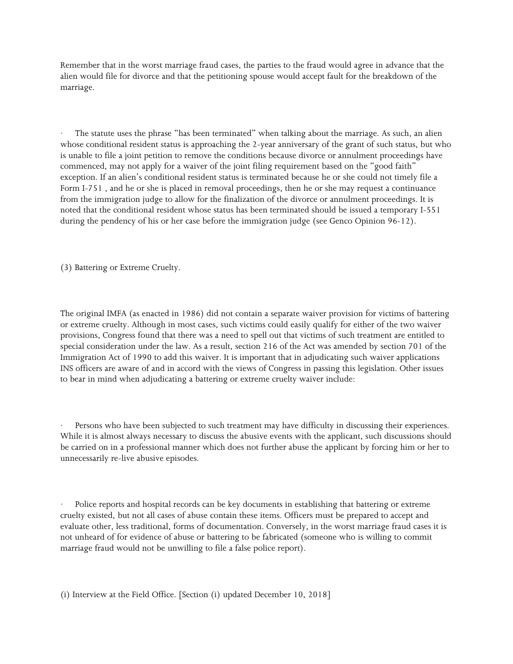Remember that in the worst marriage fraud cases, the parties to the fraud would agree in advance that the alien would file for divorce and that the petitioning spouse would accept fault for the breakdown of the marriage.

The statute uses the phrase "has been terminated" when talking about the marriage. As such, an alien whose conditional resident status is approaching the 2-year anniversary of the grant of such status, but who is unable to file a joint petition to remove the conditions because divorce or annulment proceedings have commenced, may not apply for a waiver of the joint filing requirement based on the "good faith" exception. If an alien's conditional resident status is terminated because he or she could not timely file a Form I-751 , and he or she is placed in removal proceedings, then he or she may request a continuance from the immigration judge to allow for the finalization of the divorce or annulment proceedings. It is noted that the conditional resident whose status has been terminated should be issued a temporary I-551 during the pendency of his or her case before the immigration judge (see Genco Opinion 96-12).

(3) Battering or Extreme Cruelty.

The original IMFA (as enacted in 1986) did not contain a separate waiver provision for victims of battering or extreme cruelty. Although in most cases, such victims could easily qualify for either of the two waiver provisions, Congress found that there was a need to spell out that victims of such treatment are entitled to special consideration under the law. As a result, section 216 of the Act was amended by section 701 of the Immigration Act of 1990 to add this waiver. It is important that in adjudicating such waiver applications INS officers are aware of and in accord with the views of Congress in passing this legislation. Other issues to bear in mind when adjudicating a battering or extreme cruelty waiver include:

Persons who have been subjected to such treatment may have difficulty in discussing their experiences. While it is almost always necessary to discuss the abusive events with the applicant, such discussions should be carried on in a professional manner which does not further abuse the applicant by forcing him or her to unnecessarily re-live abusive episodes.

Police reports and hospital records can be key documents in establishing that battering or extreme cruelty existed, but not all cases of abuse contain these items. Officers must be prepared to accept and evaluate other, less traditional, forms of documentation. Conversely, in the worst marriage fraud cases it is not unheard of for evidence of abuse or battering to be fabricated (someone who is willing to commit marriage fraud would not be unwilling to file a false police report).

(i) Interview at the Field Office. [Section (i) updated December 10, 2018]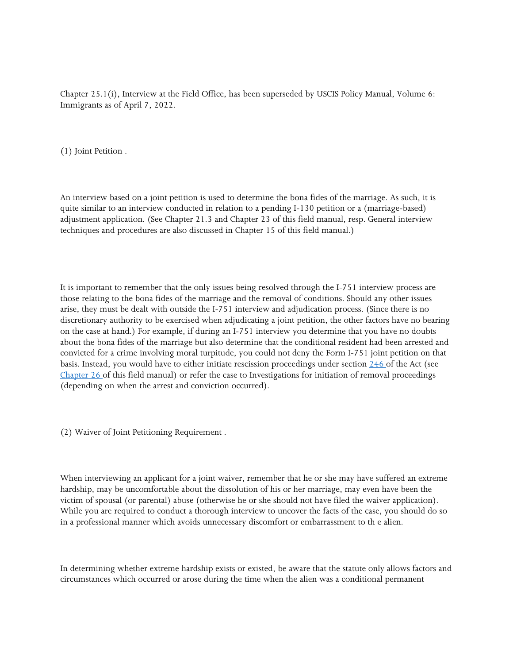Chapter 25.1(i), Interview at the Field Office, has been superseded by USCIS Policy Manual, Volume 6: Immigrants as of April 7, 2022.

(1) Joint Petition .

An interview based on a joint petition is used to determine the bona fides of the marriage. As such, it is quite similar to an interview conducted in relation to a pending I-130 petition or a (marriage-based) adjustment application. (See Chapter 21.3 and Chapter 23 of this field manual, resp. General interview techniques and procedures are also discussed in Chapter 15 of this field manual.)

It is important to remember that the only issues being resolved through the I-751 interview process are those relating to the bona fides of the marriage and the removal of conditions. Should any other issues arise, they must be dealt with outside the I-751 interview and adjudication process. (Since there is no discretionary authority to be exercised when adjudicating a joint petition, the other factors have no bearing on the case at hand.) For example, if during an I-751 interview you determine that you have no doubts about the bona fides of the marriage but also determine that the conditional resident had been arrested and convicted for a crime involving moral turpitude, you could not deny the Form I-751 joint petition on that basis. Instead, you would have to either initiate rescission proceedings under section [246 o](https://www.uscis.gov/ilink/docView/SLB/HTML/SLB/0-0-0-1/0-0-0-29/0-0-0-7981.html#0-0-0-278)f the Act (see [Chapter 26 o](https://www.uscis.gov/ilink/docView/AFM/HTML/AFM/0-0-0-1/0-0-0-12524.html#0-0-0-473)f this field manual) or refer the case to Investigations for initiation of removal proceedings (depending on when the arrest and conviction occurred).

(2) Waiver of Joint Petitioning Requirement .

When interviewing an applicant for a joint waiver, remember that he or she may have suffered an extreme hardship, may be uncomfortable about the dissolution of his or her marriage, may even have been the victim of spousal (or parental) abuse (otherwise he or she should not have filed the waiver application). While you are required to conduct a thorough interview to uncover the facts of the case, you should do so in a professional manner which avoids unnecessary discomfort or embarrassment to th e alien.

In determining whether extreme hardship exists or existed, be aware that the statute only allows factors and circumstances which occurred or arose during the time when the alien was a conditional permanent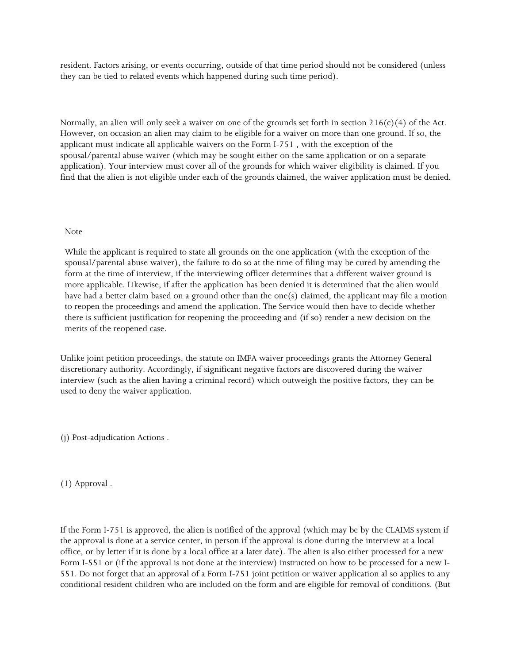resident. Factors arising, or events occurring, outside of that time period should not be considered (unless they can be tied to related events which happened during such time period).

Normally, an alien will only seek a waiver on one of the grounds set forth in section  $216(c)(4)$  of the Act. However, on occasion an alien may claim to be eligible for a waiver on more than one ground. If so, the applicant must indicate all applicable waivers on the Form I-751 , with the exception of the spousal/parental abuse waiver (which may be sought either on the same application or on a separate application). Your interview must cover all of the grounds for which waiver eligibility is claimed. If you find that the alien is not eligible under each of the grounds claimed, the waiver application must be denied.

#### Note

While the applicant is required to state all grounds on the one application (with the exception of the spousal/parental abuse waiver), the failure to do so at the time of filing may be cured by amending the form at the time of interview, if the interviewing officer determines that a different waiver ground is more applicable. Likewise, if after the application has been denied it is determined that the alien would have had a better claim based on a ground other than the one(s) claimed, the applicant may file a motion to reopen the proceedings and amend the application. The Service would then have to decide whether there is sufficient justification for reopening the proceeding and (if so) render a new decision on the merits of the reopened case.

Unlike joint petition proceedings, the statute on IMFA waiver proceedings grants the Attorney General discretionary authority. Accordingly, if significant negative factors are discovered during the waiver interview (such as the alien having a criminal record) which outweigh the positive factors, they can be used to deny the waiver application.

(j) Post-adjudication Actions .

(1) Approval .

If the Form I-751 is approved, the alien is notified of the approval (which may be by the CLAIMS system if the approval is done at a service center, in person if the approval is done during the interview at a local office, or by letter if it is done by a local office at a later date). The alien is also either processed for a new Form I-551 or (if the approval is not done at the interview) instructed on how to be processed for a new I-551. Do not forget that an approval of a Form I-751 joint petition or waiver application al so applies to any conditional resident children who are included on the form and are eligible for removal of conditions. (But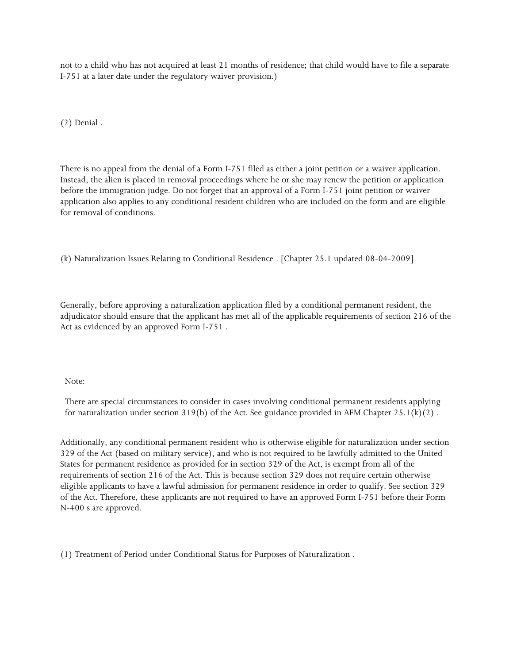not to a child who has not acquired at least 21 months of residence; that child would have to file a separate I-751 at a later date under the regulatory waiver provision.)

(2) Denial .

There is no appeal from the denial of a Form I-751 filed as either a joint petition or a waiver application. Instead, the alien is placed in removal proceedings where he or she may renew the petition or application before the immigration judge. Do not forget that an approval of a Form I-751 joint petition or waiver application also applies to any conditional resident children who are included on the form and are eligible for removal of conditions.

(k) Naturalization Issues Relating to Conditional Residence . [Chapter 25.1 updated 08-04-2009]

Generally, before approving a naturalization application filed by a conditional permanent resident, the adjudicator should ensure that the applicant has met all of the applicable requirements of section 216 of the Act as evidenced by an approved Form I-751 .

#### Note:

There are special circumstances to consider in cases involving conditional permanent residents applying for naturalization under section  $319(b)$  of the Act. See guidance provided in AFM Chapter 25.1(k)(2).

Additionally, any conditional permanent resident who is otherwise eligible for naturalization under section 329 of the Act (based on military service), and who is not required to be lawfully admitted to the United States for permanent residence as provided for in section 329 of the Act, is exempt from all of the requirements of section 216 of the Act. This is because section 329 does not require certain otherwise eligible applicants to have a lawful admission for permanent residence in order to qualify. See section 329 of the Act. Therefore, these applicants are not required to have an approved Form I-751 before their Form N-400 s are approved.

(1) Treatment of Period under Conditional Status for Purposes of Naturalization .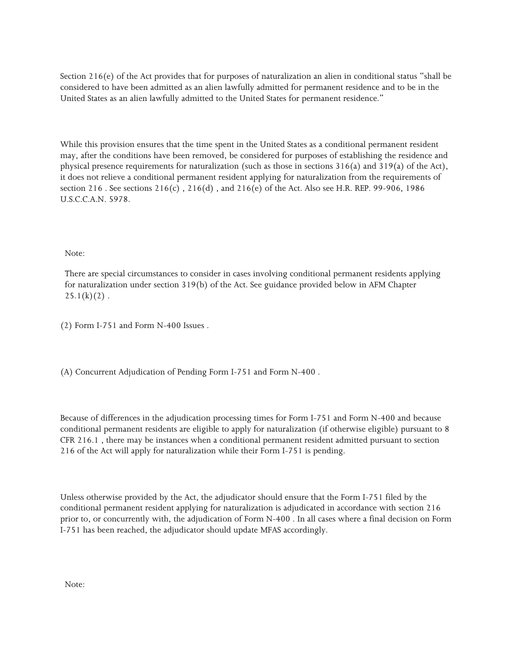Section 216(e) of the Act provides that for purposes of naturalization an alien in conditional status "shall be considered to have been admitted as an alien lawfully admitted for permanent residence and to be in the United States as an alien lawfully admitted to the United States for permanent residence."

While this provision ensures that the time spent in the United States as a conditional permanent resident may, after the conditions have been removed, be considered for purposes of establishing the residence and physical presence requirements for naturalization (such as those in sections 316(a) and 319(a) of the Act), it does not relieve a conditional permanent resident applying for naturalization from the requirements of section 216 . See sections 216(c) , 216(d) , and 216(e) of the Act. Also see H.R. REP. 99-906, 1986 U.S.C.C.A.N. 5978.

Note:

There are special circumstances to consider in cases involving conditional permanent residents applying for naturalization under section 319(b) of the Act. See guidance provided below in AFM Chapter  $25.1(k)(2)$ .

(2) Form I-751 and Form N-400 Issues .

(A) Concurrent Adjudication of Pending Form I-751 and Form N-400 .

Because of differences in the adjudication processing times for Form I-751 and Form N-400 and because conditional permanent residents are eligible to apply for naturalization (if otherwise eligible) pursuant to 8 CFR 216.1 , there may be instances when a conditional permanent resident admitted pursuant to section 216 of the Act will apply for naturalization while their Form I-751 is pending.

Unless otherwise provided by the Act, the adjudicator should ensure that the Form I-751 filed by the conditional permanent resident applying for naturalization is adjudicated in accordance with section 216 prior to, or concurrently with, the adjudication of Form N-400 . In all cases where a final decision on Form I-751 has been reached, the adjudicator should update MFAS accordingly.

Note: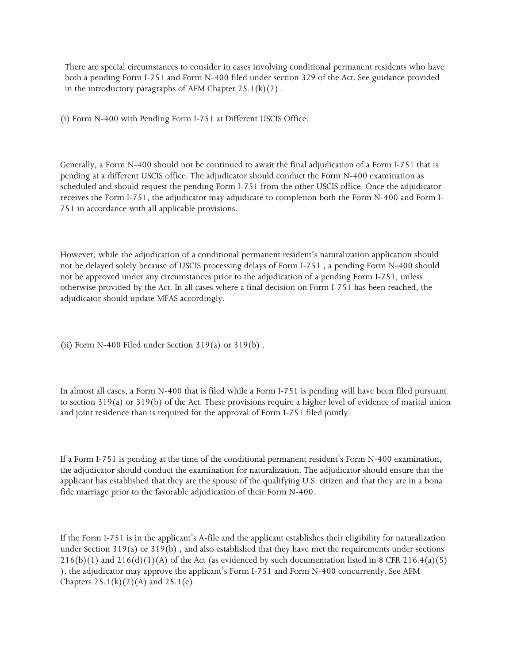There are special circumstances to consider in cases involving conditional permanent residents who have both a pending Form I-751 and Form N-400 filed under section 329 of the Act. See guidance provided in the introductory paragraphs of AFM Chapter  $25.1(k)(2)$ .

(i) Form N-400 with Pending Form I-751 at Different USCIS Office.

Generally, a Form N-400 should not be continued to await the final adjudication of a Form I-751 that is pending at a different USCIS office. The adjudicator should conduct the Form N-400 examination as scheduled and should request the pending Form I-751 from the other USCIS office. Once the adjudicator receives the Form I-751, the adjudicator may adjudicate to completion both the Form N-400 and Form I-751 in accordance with all applicable provisions.

However, while the adjudication of a conditional permanent resident's naturalization application should not be delayed solely because of USCIS processing delays of Form I-751 , a pending Form N-400 should not be approved under any circumstances prior to the adjudication of a pending Form I-751, unless otherwise provided by the Act. In all cases where a final decision on Form I-751 has been reached, the adjudicator should update MFAS accordingly.

(ii) Form N-400 Filed under Section  $319(a)$  or  $319(b)$ .

In almost all cases, a Form N-400 that is filed while a Form I-751 is pending will have been filed pursuant to section 319(a) or 319(b) of the Act. These provisions require a higher level of evidence of marital union and joint residence than is required for the approval of Form I-751 filed jointly.

If a Form I-751 is pending at the time of the conditional permanent resident's Form N-400 examination, the adjudicator should conduct the examination for naturalization. The adjudicator should ensure that the applicant has established that they are the spouse of the qualifying U.S. citizen and that they are in a bona fide marriage prior to the favorable adjudication of their Form N-400.

If the Form I-751 is in the applicant's A-file and the applicant establishes their eligibility for naturalization under Section 319(a) or 319(b) , and also established that they have met the requirements under sections  $216(b)(1)$  and  $216(d)(1)(A)$  of the Act (as evidenced by such documentation listed in 8 CFR  $216.4(a)(5)$ ), the adjudicator may approve the applicant's Form I-751 and Form N-400 concurrently. See AFM Chapters  $25.1(k)(2)(A)$  and  $25.1(e)$ .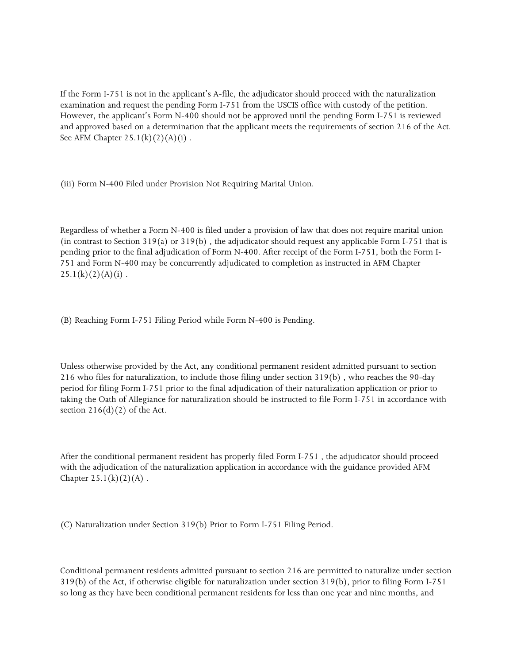If the Form I-751 is not in the applicant's A-file, the adjudicator should proceed with the naturalization examination and request the pending Form I-751 from the USCIS office with custody of the petition. However, the applicant's Form N-400 should not be approved until the pending Form I-751 is reviewed and approved based on a determination that the applicant meets the requirements of section 216 of the Act. See AFM Chapter  $25.1(k)(2)(A)(i)$ .

(iii) Form N-400 Filed under Provision Not Requiring Marital Union.

Regardless of whether a Form N-400 is filed under a provision of law that does not require marital union (in contrast to Section 319(a) or  $319(b)$ , the adjudicator should request any applicable Form I-751 that is pending prior to the final adjudication of Form N-400. After receipt of the Form I-751, both the Form I-751 and Form N-400 may be concurrently adjudicated to completion as instructed in AFM Chapter  $25.1(k)(2)(A)(i)$ .

(B) Reaching Form I-751 Filing Period while Form N-400 is Pending.

Unless otherwise provided by the Act, any conditional permanent resident admitted pursuant to section 216 who files for naturalization, to include those filing under section 319(b) , who reaches the 90-day period for filing Form I-751 prior to the final adjudication of their naturalization application or prior to taking the Oath of Allegiance for naturalization should be instructed to file Form I-751 in accordance with section  $216(d)(2)$  of the Act.

After the conditional permanent resident has properly filed Form I-751 , the adjudicator should proceed with the adjudication of the naturalization application in accordance with the guidance provided AFM Chapter  $25.1(k)(2)(A)$ .

(C) Naturalization under Section 319(b) Prior to Form I-751 Filing Period.

Conditional permanent residents admitted pursuant to section 216 are permitted to naturalize under section 319(b) of the Act, if otherwise eligible for naturalization under section 319(b), prior to filing Form I-751 so long as they have been conditional permanent residents for less than one year and nine months, and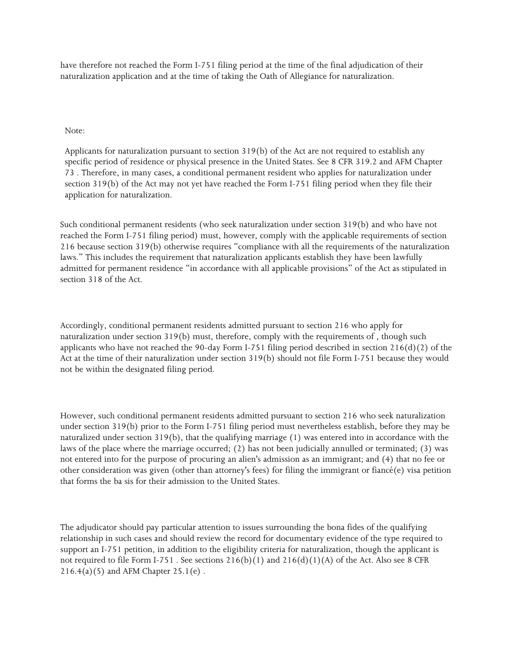have therefore not reached the Form I-751 filing period at the time of the final adjudication of their naturalization application and at the time of taking the Oath of Allegiance for naturalization.

#### Note:

Applicants for naturalization pursuant to section 319(b) of the Act are not required to establish any specific period of residence or physical presence in the United States. See 8 CFR 319.2 and AFM Chapter 73 . Therefore, in many cases, a conditional permanent resident who applies for naturalization under section 319(b) of the Act may not yet have reached the Form I-751 filing period when they file their application for naturalization.

Such conditional permanent residents (who seek naturalization under section 319(b) and who have not reached the Form I-751 filing period) must, however, comply with the applicable requirements of section 216 because section 319(b) otherwise requires "compliance with all the requirements of the naturalization laws." This includes the requirement that naturalization applicants establish they have been lawfully admitted for permanent residence "in accordance with all applicable provisions" of the Act as stipulated in section 318 of the Act.

Accordingly, conditional permanent residents admitted pursuant to section 216 who apply for naturalization under section 319(b) must, therefore, comply with the requirements of , though such applicants who have not reached the 90-day Form I-751 filing period described in section 216(d)(2) of the Act at the time of their naturalization under section 319(b) should not file Form I-751 because they would not be within the designated filing period.

However, such conditional permanent residents admitted pursuant to section 216 who seek naturalization under section 319(b) prior to the Form I-751 filing period must nevertheless establish, before they may be naturalized under section 319(b), that the qualifying marriage (1) was entered into in accordance with the laws of the place where the marriage occurred; (2) has not been judicially annulled or terminated; (3) was not entered into for the purpose of procuring an alien's admission as an immigrant; and (4) that no fee or other consideration was given (other than attorney's fees) for filing the immigrant or fiancé(e) visa petition that forms the ba sis for their admission to the United States.

The adjudicator should pay particular attention to issues surrounding the bona fides of the qualifying relationship in such cases and should review the record for documentary evidence of the type required to support an I-751 petition, in addition to the eligibility criteria for naturalization, though the applicant is not required to file Form I-751. See sections  $216(b)(1)$  and  $216(d)(1)(A)$  of the Act. Also see 8 CFR  $216.4(a)(5)$  and AFM Chapter  $25.1(e)$ .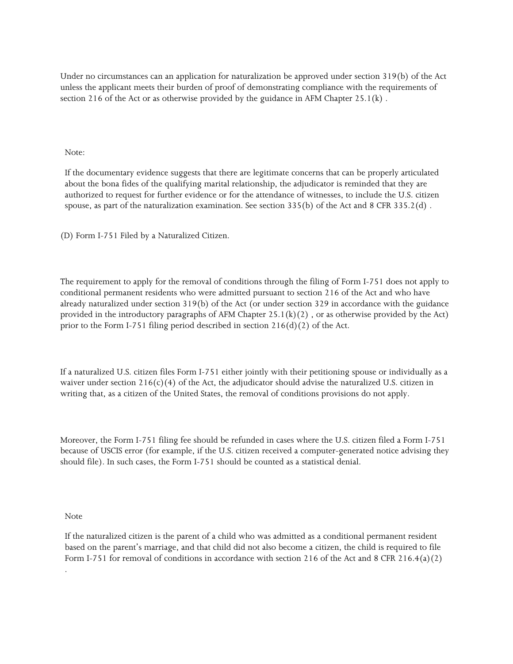Under no circumstances can an application for naturalization be approved under section 319(b) of the Act unless the applicant meets their burden of proof of demonstrating compliance with the requirements of section 216 of the Act or as otherwise provided by the guidance in AFM Chapter  $25.1(k)$ .

Note:

If the documentary evidence suggests that there are legitimate concerns that can be properly articulated about the bona fides of the qualifying marital relationship, the adjudicator is reminded that they are authorized to request for further evidence or for the attendance of witnesses, to include the U.S. citizen spouse, as part of the naturalization examination. See section 335(b) of the Act and 8 CFR 335.2(d) .

(D) Form I-751 Filed by a Naturalized Citizen.

The requirement to apply for the removal of conditions through the filing of Form I-751 does not apply to conditional permanent residents who were admitted pursuant to section 216 of the Act and who have already naturalized under section 319(b) of the Act (or under section 329 in accordance with the guidance provided in the introductory paragraphs of AFM Chapter  $25.1(k)(2)$ , or as otherwise provided by the Act) prior to the Form I-751 filing period described in section  $216(d)(2)$  of the Act.

If a naturalized U.S. citizen files Form I-751 either jointly with their petitioning spouse or individually as a waiver under section 216(c)(4) of the Act, the adjudicator should advise the naturalized U.S. citizen in writing that, as a citizen of the United States, the removal of conditions provisions do not apply.

Moreover, the Form I-751 filing fee should be refunded in cases where the U.S. citizen filed a Form I-751 because of USCIS error (for example, if the U.S. citizen received a computer-generated notice advising they should file). In such cases, the Form I-751 should be counted as a statistical denial.

Note

.

If the naturalized citizen is the parent of a child who was admitted as a conditional permanent resident based on the parent's marriage, and that child did not also become a citizen, the child is required to file Form I-751 for removal of conditions in accordance with section 216 of the Act and 8 CFR 216.4(a)(2)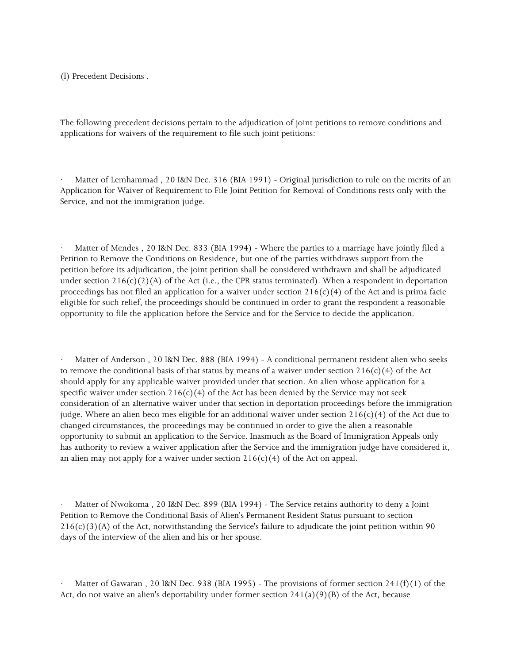(l) Precedent Decisions .

The following precedent decisions pertain to the adjudication of joint petitions to remove conditions and applications for waivers of the requirement to file such joint petitions:

Matter of Lemhammad, 20 I&N Dec. 316 (BIA 1991) - Original jurisdiction to rule on the merits of an Application for Waiver of Requirement to File Joint Petition for Removal of Conditions rests only with the Service, and not the immigration judge.

Matter of Mendes, 20 I&N Dec. 833 (BIA 1994) - Where the parties to a marriage have jointly filed a Petition to Remove the Conditions on Residence, but one of the parties withdraws support from the petition before its adjudication, the joint petition shall be considered withdrawn and shall be adjudicated under section  $216(c)(2)(A)$  of the Act (i.e., the CPR status terminated). When a respondent in deportation proceedings has not filed an application for a waiver under section  $216(c)(4)$  of the Act and is prima facie eligible for such relief, the proceedings should be continued in order to grant the respondent a reasonable opportunity to file the application before the Service and for the Service to decide the application.

Matter of Anderson, 20 I&N Dec. 888 (BIA 1994) - A conditional permanent resident alien who seeks to remove the conditional basis of that status by means of a waiver under section  $216(c)(4)$  of the Act should apply for any applicable waiver provided under that section. An alien whose application for a specific waiver under section  $216(c)(4)$  of the Act has been denied by the Service may not seek consideration of an alternative waiver under that section in deportation proceedings before the immigration judge. Where an alien beco mes eligible for an additional waiver under section 216(c)(4) of the Act due to changed circumstances, the proceedings may be continued in order to give the alien a reasonable opportunity to submit an application to the Service. Inasmuch as the Board of Immigration Appeals only has authority to review a waiver application after the Service and the immigration judge have considered it, an alien may not apply for a waiver under section  $216(c)(4)$  of the Act on appeal.

· Matter of Nwokoma , 20 I&N Dec. 899 (BIA 1994) - The Service retains authority to deny a Joint Petition to Remove the Conditional Basis of Alien's Permanent Resident Status pursuant to section  $216(c)(3)(A)$  of the Act, notwithstanding the Service's failure to adjudicate the joint petition within 90 days of the interview of the alien and his or her spouse.

Matter of Gawaran, 20 I&N Dec. 938 (BIA 1995) - The provisions of former section 241(f)(1) of the Act, do not waive an alien's deportability under former section  $241(a)(9)(B)$  of the Act, because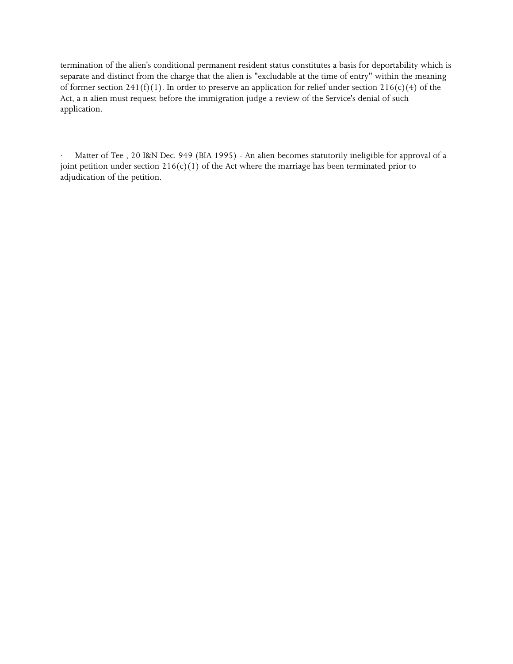termination of the alien's conditional permanent resident status constitutes a basis for deportability which is separate and distinct from the charge that the alien is "excludable at the time of entry" within the meaning of former section 241(f)(1). In order to preserve an application for relief under section 216(c)(4) of the Act, a n alien must request before the immigration judge a review of the Service's denial of such application.

Matter of Tee, 20 I&N Dec. 949 (BIA 1995) - An alien becomes statutorily ineligible for approval of a joint petition under section  $216(c)(1)$  of the Act where the marriage has been terminated prior to adjudication of the petition.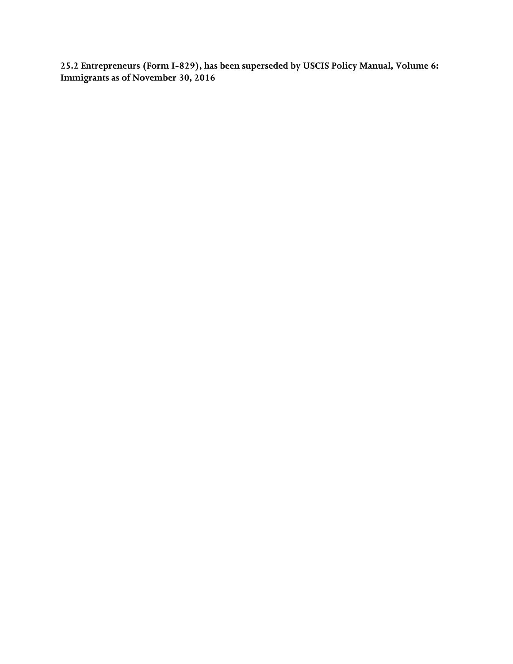**25.2 Entrepreneurs (Form I-829), has been superseded by USCIS Policy Manual, Volume 6: Immigrants as of November 30, 2016**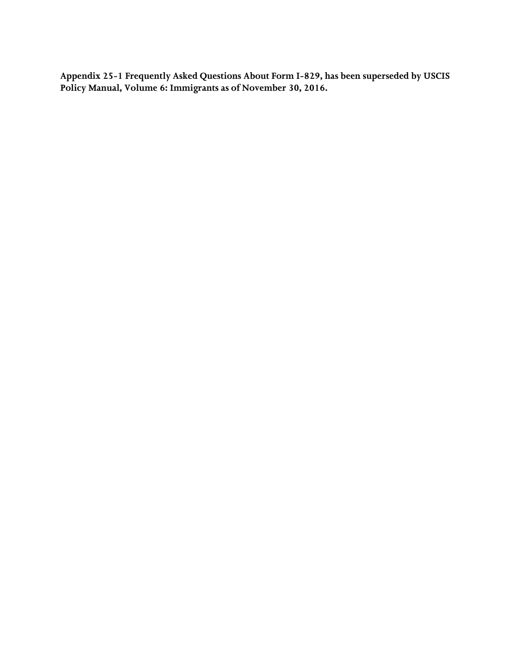**Appendix 25-1 Frequently Asked Questions About Form I-829, has been superseded by USCIS Policy Manual, Volume 6: Immigrants as of November 30, 2016.**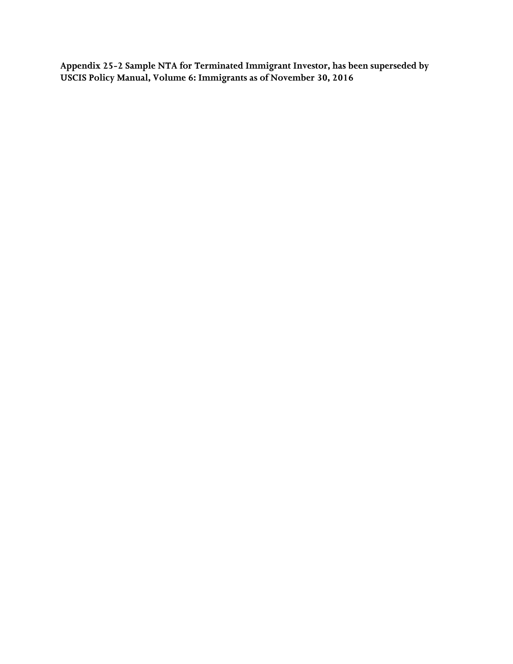**Appendix 25-2 Sample NTA for Terminated Immigrant Investor, has been superseded by USCIS Policy Manual, Volume 6: Immigrants as of November 30, 2016**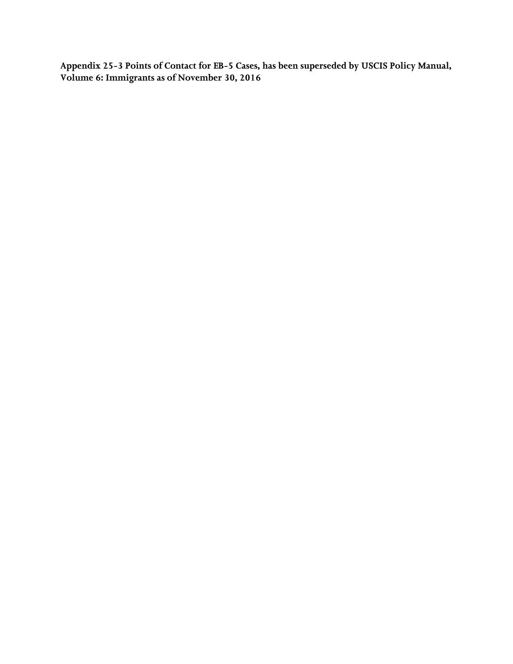**Appendix 25-3 Points of Contact for EB-5 Cases, has been superseded by USCIS Policy Manual, Volume 6: Immigrants as of November 30, 2016**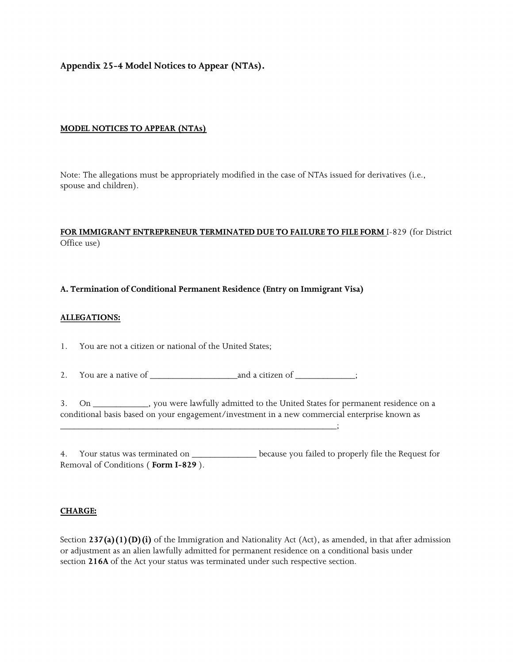**Appendix 25-4 Model Notices to Appear (NTAs).** 

#### **MODEL NOTICES TO APPEAR (NTAs)**

Note: The allegations must be appropriately modified in the case of NTAs issued for derivatives (i.e., spouse and children).

## **FOR IMMIGRANT ENTREPRENEUR TERMINATED DUE TO FAILURE TO FILE FORM** I-829 (for District Office use)

#### **A. Termination of Conditional Permanent Residence (Entry on Immigrant Visa)**

#### **ALLEGATIONS:**

1. You are not a citizen or national of the United States;

2. You are a native of \_\_\_\_\_\_\_\_\_\_\_\_\_\_\_\_\_\_\_and a citizen of \_\_\_\_\_\_\_\_\_\_\_\_\_;

\_\_\_\_\_\_\_\_\_\_\_\_\_\_\_\_\_\_\_\_\_\_\_\_\_\_\_\_\_\_\_\_\_\_\_\_\_\_\_\_\_\_\_\_\_\_\_\_\_\_\_\_\_\_\_\_\_\_\_\_;

3. On \_\_\_\_\_\_\_\_\_\_\_\_, you were lawfully admitted to the United States for permanent residence on a conditional basis based on your engagement/investment in a new commercial enterprise known as

4. Your status was terminated on \_\_\_\_\_\_\_\_\_\_\_\_\_\_\_\_ because you failed to properly file the Request for Removal of Conditions ( **Form I-829** ).

#### **CHARGE:**

Section 237(a)(1)(D)(i) of the Immigration and Nationality Act (Act), as amended, in that after admission or adjustment as an alien lawfully admitted for permanent residence on a conditional basis under section **216A** of the Act your status was terminated under such respective section.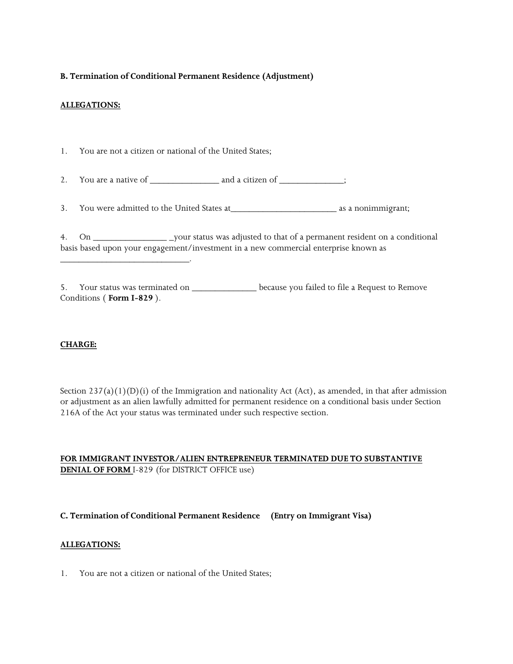## **B. Termination of Conditional Permanent Residence (Adjustment)**

#### **ALLEGATIONS:**

1. You are not a citizen or national of the United States;

\_\_\_\_\_\_\_\_\_\_\_\_\_\_\_\_\_\_\_\_\_\_\_\_\_\_\_\_.

2. You are a native of \_\_\_\_\_\_\_\_\_\_\_\_\_\_\_ and a citizen of \_\_\_\_\_\_\_\_\_\_\_\_\_\_;

3. You were admitted to the United States at\_\_\_\_\_\_\_\_\_\_\_\_\_\_\_\_\_\_\_\_\_\_\_ as a nonimmigrant;

 4. On \_\_\_\_\_\_\_\_\_\_\_\_\_\_\_\_ \_your status was adjusted to that of a permanent resident on a conditional basis based upon your engagement/investment in a new commercial enterprise known as

5. Your status was terminated on \_\_\_\_\_\_\_\_\_\_\_\_\_\_\_\_\_ because you failed to file a Request to Remove Conditions ( **Form I-829** ).

## **CHARGE:**

 216A of the Act your status was terminated under such respective section. Section  $237(a)(1)(D)(i)$  of the Immigration and nationality Act (Act), as amended, in that after admission or adjustment as an alien lawfully admitted for permanent residence on a conditional basis under Section

## **FOR IMMIGRANT INVESTOR/ALIEN ENTREPRENEUR TERMINATED DUE TO SUBSTANTIVE DENIAL OF FORM** I-829 (for DISTRICT OFFICE use)

## **C. Termination of Conditional Permanent Residence (Entry on Immigrant Visa)**

#### **ALLEGATIONS:**

1. You are not a citizen or national of the United States;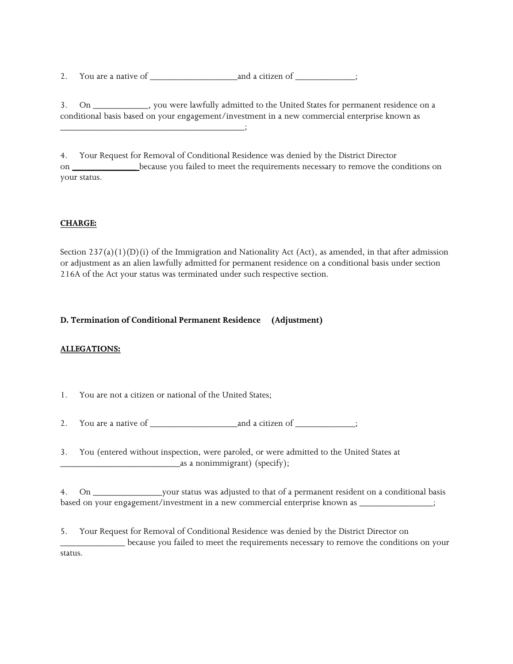2. You are a native of \_\_\_\_\_\_\_\_\_\_\_\_\_\_\_\_\_\_\_and a citizen of \_\_\_\_\_\_\_\_\_\_\_\_\_;

3. On \_\_\_\_\_\_\_\_\_\_\_\_, you were lawfully admitted to the United States for permanent residence on a conditional basis based on your engagement/investment in a new commercial enterprise known as \_\_\_\_\_\_\_\_\_\_\_\_\_\_\_\_\_\_\_\_\_\_\_\_\_\_\_\_\_\_\_\_\_\_\_\_\_\_\_\_;

4. Your Request for Removal of Conditional Residence was denied by the District Director on \_\_\_\_\_\_\_\_\_\_\_\_\_\_ because you failed to meet the requirements necessary to remove the conditions on your status.

# **CHARGE:**

 216A of the Act your status was terminated under such respective section. Section  $237(a)(1)(D)(i)$  of the Immigration and Nationality Act (Act), as amended, in that after admission or adjustment as an alien lawfully admitted for permanent residence on a conditional basis under section

## **D. Termination of Conditional Permanent Residence (Adjustment)**

## **ALLEGATIONS:**

1. You are not a citizen or national of the United States;

2. You are a native of \_\_\_\_\_\_\_\_\_\_\_\_\_\_\_\_\_\_\_and a citizen of \_\_\_\_\_\_\_\_\_\_\_\_\_;

3. You (entered without inspection, were paroled, or were admitted to the United States at \_\_\_\_\_\_\_\_\_\_\_\_\_\_\_\_\_\_\_\_\_\_\_\_\_\_as a nonimmigrant) (specify);

 4. On \_\_\_\_\_\_\_\_\_\_\_\_\_\_\_your status was adjusted to that of a permanent resident on a conditional basis based on your engagement/investment in a new commercial enterprise known as \_\_\_\_\_\_\_\_\_\_\_\_\_\_\_\_;

 \_\_\_\_\_\_\_\_\_\_\_\_\_\_ because you failed to meet the requirements necessary to remove the conditions on your 5. Your Request for Removal of Conditional Residence was denied by the District Director on status.